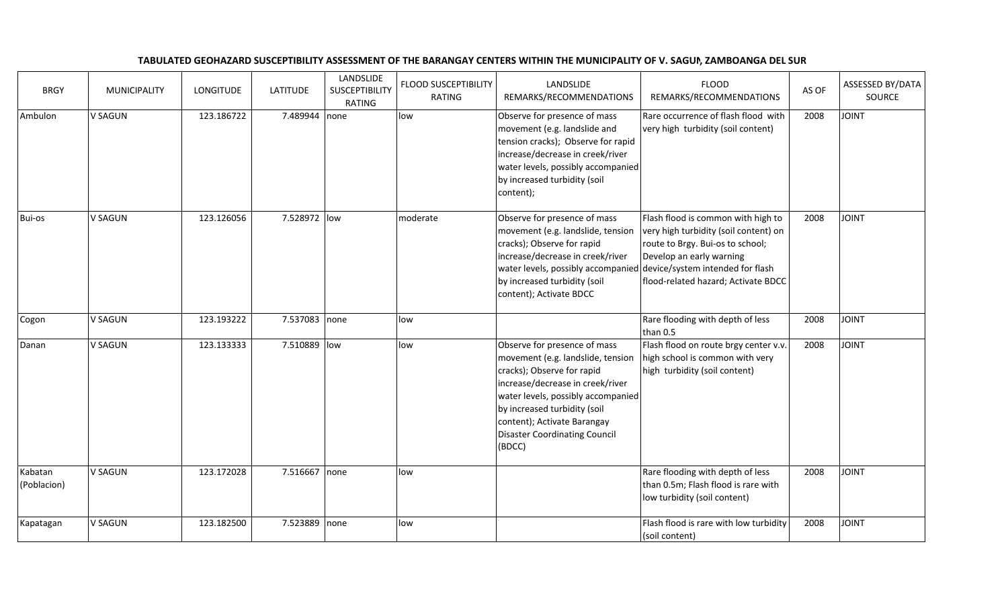## TABULATED GEOHAZARD SUSCEPTIBILITY ASSESSMENT OF THE BARANGAY CENTERS WITHIN THE MUNICIPALITY OF V. SAGUN, ZAMBOANGA DEL SUR

| <b>BRGY</b>            | <b>MUNICIPALITY</b> | <b>LONGITUDE</b> | <b>LATITUDE</b> | LANDSLIDE<br><b>SUSCEPTIBILITY</b><br><b>RATING</b> | <b>FLOOD SUSCEPTIBILITY</b><br><b>RATING</b> | LANDSLIDE<br>REMARKS/RECOMMENDATIONS                                                                                                                                                                                                                                                       | <b>FLOOD</b><br>REMARKS/RECOMMENDATIONS                                                                                                                                                                                | AS OF | ASSESSED BY/DATA<br>SOURCE |
|------------------------|---------------------|------------------|-----------------|-----------------------------------------------------|----------------------------------------------|--------------------------------------------------------------------------------------------------------------------------------------------------------------------------------------------------------------------------------------------------------------------------------------------|------------------------------------------------------------------------------------------------------------------------------------------------------------------------------------------------------------------------|-------|----------------------------|
| Ambulon                | V SAGUN             | 123.186722       | 7.489944 none   |                                                     | low                                          | Observe for presence of mass<br>movement (e.g. landslide and<br>tension cracks); Observe for rapid<br>increase/decrease in creek/river<br>water levels, possibly accompanied<br>by increased turbidity (soil<br>content);                                                                  | Rare occurrence of flash flood with<br>very high turbidity (soil content)                                                                                                                                              | 2008  | <b>TAIOL</b>               |
| Bui-os                 | <b>V SAGUN</b>      | 123.126056       | 7.528972 low    |                                                     | moderate                                     | Observe for presence of mass<br>movement (e.g. landslide, tension<br>cracks); Observe for rapid<br>increase/decrease in creek/river<br>water levels, possibly accompanied<br>by increased turbidity (soil<br>content); Activate BDCC                                                       | Flash flood is common with high to<br>very high turbidity (soil content) on<br>route to Brgy. Bui-os to school;<br>Develop an early warning<br>device/system intended for flash<br>flood-related hazard; Activate BDCC | 2008  | <b>TINIOL</b>              |
| Cogon                  | V SAGUN             | 123.193222       | 7.537083 none   |                                                     | low                                          |                                                                                                                                                                                                                                                                                            | Rare flooding with depth of less<br>than 0.5                                                                                                                                                                           | 2008  | <b>JOINT</b>               |
| Danan                  | V SAGUN             | 123.133333       | 7.510889 low    |                                                     | low                                          | Observe for presence of mass<br>movement (e.g. landslide, tension<br>cracks); Observe for rapid<br>increase/decrease in creek/river<br>water levels, possibly accompanied<br>by increased turbidity (soil<br>content); Activate Barangay<br><b>Disaster Coordinating Council</b><br>(BDCC) | Flash flood on route brgy center v.v.<br>high school is common with very<br>high turbidity (soil content)                                                                                                              | 2008  | <b>TVIOL</b>               |
| Kabatan<br>(Poblacion) | V SAGUN             | 123.172028       | 7.516667 none   |                                                     | low                                          |                                                                                                                                                                                                                                                                                            | Rare flooding with depth of less<br>than 0.5m; Flash flood is rare with<br>low turbidity (soil content)                                                                                                                | 2008  | <b>TAIOL</b>               |
| Kapatagan              | V SAGUN             | 123.182500       | 7.523889 none   |                                                     | low                                          |                                                                                                                                                                                                                                                                                            | Flash flood is rare with low turbidity<br>(soil content)                                                                                                                                                               | 2008  | <b>JOINT</b>               |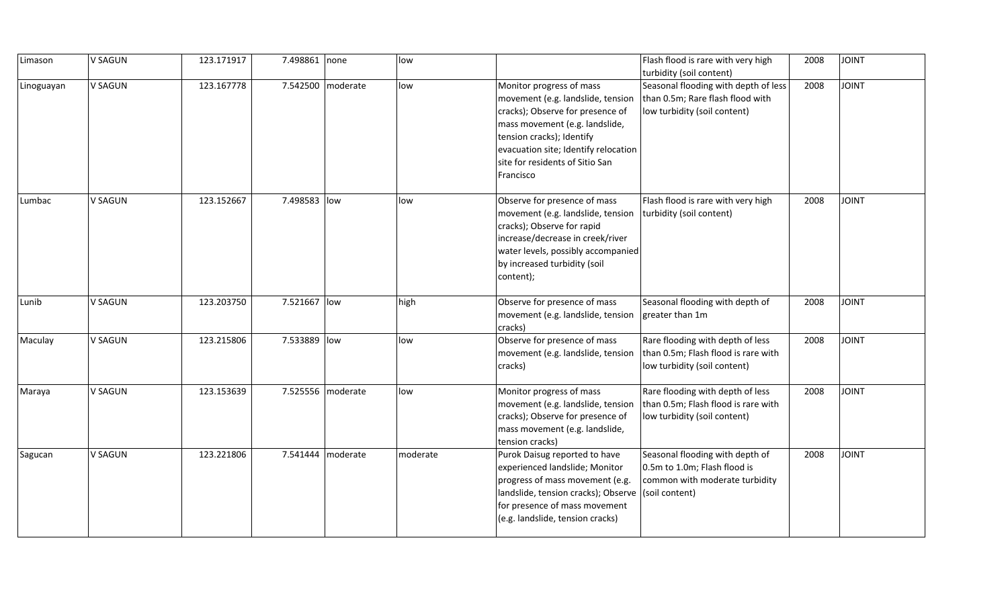| Limason    | V SAGUN        | 123.171917 | 7.498861 none |                   | low      |                                                                                                                                                                                                                                                          | Flash flood is rare with very high<br>turbidity (soil content)                                           | 2008 | <b>JOINT</b> |
|------------|----------------|------------|---------------|-------------------|----------|----------------------------------------------------------------------------------------------------------------------------------------------------------------------------------------------------------------------------------------------------------|----------------------------------------------------------------------------------------------------------|------|--------------|
| Linoguayan | V SAGUN        | 123.167778 |               | 7.542500 moderate | low      | Monitor progress of mass<br>movement (e.g. landslide, tension<br>cracks); Observe for presence of<br>mass movement (e.g. landslide,<br>tension cracks); Identify<br>evacuation site; Identify relocation<br>site for residents of Sitio San<br>Francisco | Seasonal flooding with depth of less<br>than 0.5m; Rare flash flood with<br>low turbidity (soil content) | 2008 | <b>JOINT</b> |
| Lumbac     | V SAGUN        | 123.152667 | 7.498583 low  |                   | low      | Observe for presence of mass<br>movement (e.g. landslide, tension<br>cracks); Observe for rapid<br>increase/decrease in creek/river<br>water levels, possibly accompanied<br>by increased turbidity (soil<br>content);                                   | Flash flood is rare with very high<br>turbidity (soil content)                                           | 2008 | <b>JOINT</b> |
| Lunib      | V SAGUN        | 123.203750 | 7.521667 low  |                   | high     | Observe for presence of mass<br>movement (e.g. landslide, tension<br>cracks)                                                                                                                                                                             | Seasonal flooding with depth of<br>greater than 1m                                                       | 2008 | <b>JOINT</b> |
| Maculay    | <b>V SAGUN</b> | 123.215806 | 7.533889 low  |                   | low      | Observe for presence of mass<br>movement (e.g. landslide, tension<br>cracks)                                                                                                                                                                             | Rare flooding with depth of less<br>than 0.5m; Flash flood is rare with<br>low turbidity (soil content)  | 2008 | <b>JOINT</b> |
| Maraya     | V SAGUN        | 123.153639 |               | 7.525556 moderate | low      | Monitor progress of mass<br>movement (e.g. landslide, tension<br>cracks); Observe for presence of<br>mass movement (e.g. landslide,<br>tension cracks)                                                                                                   | Rare flooding with depth of less<br>than 0.5m; Flash flood is rare with<br>low turbidity (soil content)  | 2008 | <b>JOINT</b> |
| Sagucan    | V SAGUN        | 123.221806 | 7.541444      | moderate          | moderate | Purok Daisug reported to have<br>experienced landslide; Monitor<br>progress of mass movement (e.g.<br>landslide, tension cracks); Observe (soil content)<br>for presence of mass movement<br>(e.g. landslide, tension cracks)                            | Seasonal flooding with depth of<br>0.5m to 1.0m; Flash flood is<br>common with moderate turbidity        | 2008 | <b>JOINT</b> |